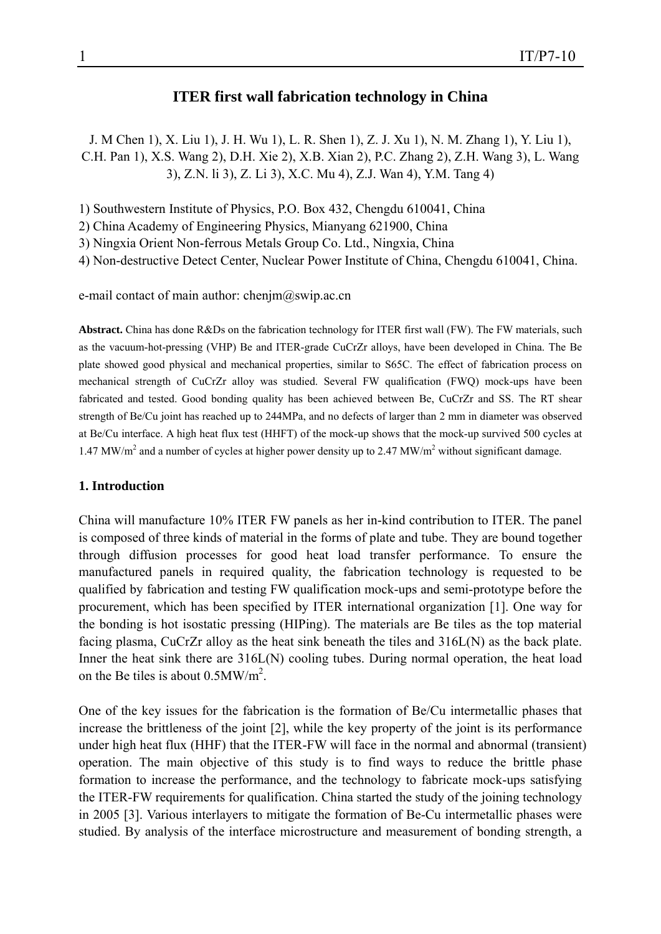# **ITER first wall fabrication technology in China**

J. M Chen 1), X. Liu 1), J. H. Wu 1), L. R. Shen 1), Z. J. Xu 1), N. M. Zhang 1), Y. Liu 1), C.H. Pan 1), X.S. Wang 2), D.H. Xie 2), X.B. Xian 2), P.C. Zhang 2), Z.H. Wang 3), L. Wang 3), Z.N. li 3), Z. Li 3), X.C. Mu 4), Z.J. Wan 4), Y.M. Tang 4)

1) Southwestern Institute of Physics, P.O. Box 432, Chengdu 610041, China

2) China Academy of Engineering Physics, Mianyang 621900, China

3) Ningxia Orient Non-ferrous Metals Group Co. Ltd., Ningxia, China

4) Non-destructive Detect Center, Nuclear Power Institute of China, Chengdu 610041, China.

e-mail contact of main author: chenjm@swip.ac.cn

**Abstract.** China has done R&Ds on the fabrication technology for ITER first wall (FW). The FW materials, such as the vacuum-hot-pressing (VHP) Be and ITER-grade CuCrZr alloys, have been developed in China. The Be plate showed good physical and mechanical properties, similar to S65C. The effect of fabrication process on mechanical strength of CuCrZr alloy was studied. Several FW qualification (FWQ) mock-ups have been fabricated and tested. Good bonding quality has been achieved between Be, CuCrZr and SS. The RT shear strength of Be/Cu joint has reached up to 244MPa, and no defects of larger than 2 mm in diameter was observed at Be/Cu interface. A high heat flux test (HHFT) of the mock-up shows that the mock-up survived 500 cycles at 1.47 MW/m<sup>2</sup> and a number of cycles at higher power density up to 2.47 MW/m<sup>2</sup> without significant damage.

#### **1. Introduction**

China will manufacture 10% ITER FW panels as her in-kind contribution to ITER. The panel is composed of three kinds of material in the forms of plate and tube. They are bound together through diffusion processes for good heat load transfer performance. To ensure the manufactured panels in required quality, the fabrication technology is requested to be qualified by fabrication and testing FW qualification mock-ups and semi-prototype before the procurement, which has been specified by ITER international organization [1]. One way for the bonding is hot isostatic pressing (HIPing). The materials are Be tiles as the top material facing plasma, CuCrZr alloy as the heat sink beneath the tiles and 316L(N) as the back plate. Inner the heat sink there are 316L(N) cooling tubes. During normal operation, the heat load on the Be tiles is about  $0.5MW/m^2$ .

One of the key issues for the fabrication is the formation of Be/Cu intermetallic phases that increase the brittleness of the joint [2], while the key property of the joint is its performance under high heat flux (HHF) that the ITER-FW will face in the normal and abnormal (transient) operation. The main objective of this study is to find ways to reduce the brittle phase formation to increase the performance, and the technology to fabricate mock-ups satisfying the ITER-FW requirements for qualification. China started the study of the joining technology in 2005 [3]. Various interlayers to mitigate the formation of Be-Cu intermetallic phases were studied. By analysis of the interface microstructure and measurement of bonding strength, a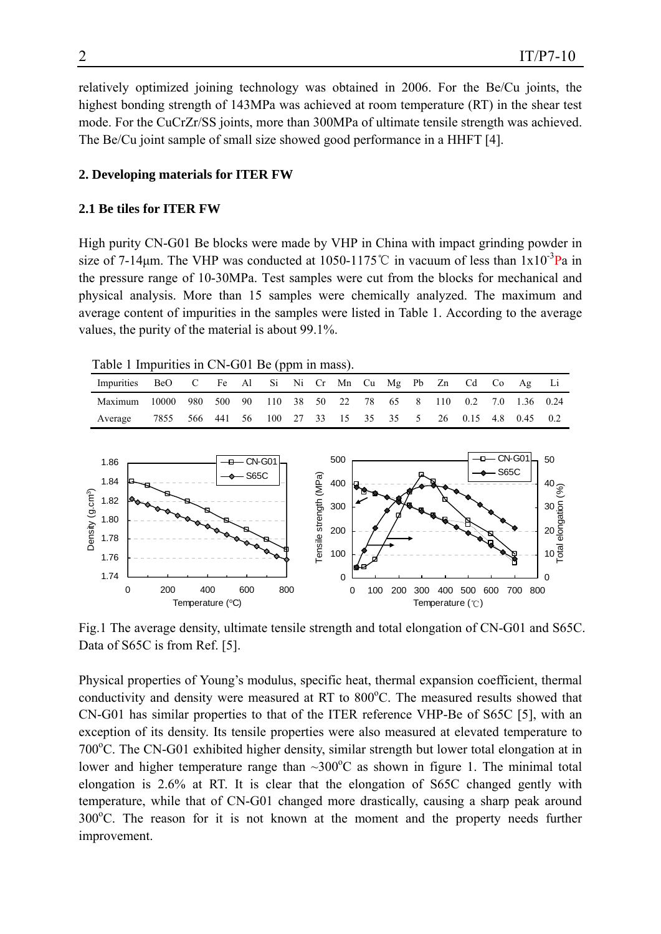relatively optimized joining technology was obtained in 2006. For the Be/Cu joints, the highest bonding strength of 143MPa was achieved at room temperature (RT) in the shear test mode. For the CuCrZr/SS joints, more than 300MPa of ultimate tensile strength was achieved. The Be/Cu joint sample of small size showed good performance in a HHFT [4].

#### **2. Developing materials for ITER FW**

#### **2.1 Be tiles for ITER FW**

High purity CN-G01 Be blocks were made by VHP in China with impact grinding powder in size of 7-14 $\mu$ m. The VHP was conducted at 1050-1175°C in vacuum of less than 1x10<sup>-3</sup>Pa in the pressure range of 10-30MPa. Test samples were cut from the blocks for mechanical and physical analysis. More than 15 samples were chemically analyzed. The maximum and average content of impurities in the samples were listed in Table 1. According to the average values, the purity of the material is about 99.1%.

Table 1 Impurities in CN-G01 Be (ppm in mass).

| Impurities BeO C Fe Al Si Ni Cr Mn Cu Mg Pb Zn Cd Co Ag Li          |                                                           |  |  |  |  |  |  |  |  |
|---------------------------------------------------------------------|-----------------------------------------------------------|--|--|--|--|--|--|--|--|
| Maximum 10000 980 500 90 110 38 50 22 78 65 8 110 0.2 7.0 1.36 0.24 |                                                           |  |  |  |  |  |  |  |  |
| Average                                                             | 7855 566 441 56 100 27 33 15 35 35 5 26 0.15 4.8 0.45 0.2 |  |  |  |  |  |  |  |  |
|                                                                     |                                                           |  |  |  |  |  |  |  |  |



Fig.1 The average density, ultimate tensile strength and total elongation of CN-G01 and S65C. Data of S65C is from Ref. [5].

Physical properties of Young's modulus, specific heat, thermal expansion coefficient, thermal conductivity and density were measured at RT to 800°C. The measured results showed that CN-G01 has similar properties to that of the ITER reference VHP-Be of S65C [5], with an exception of its density. Its tensile properties were also measured at elevated temperature to 700°C. The CN-G01 exhibited higher density, similar strength but lower total elongation at in lower and higher temperature range than  $\sim$ 300 $^{\circ}$ C as shown in figure 1. The minimal total elongation is 2.6% at RT. It is clear that the elongation of S65C changed gently with temperature, while that of CN-G01 changed more drastically, causing a sharp peak around 300°C. The reason for it is not known at the moment and the property needs further improvement.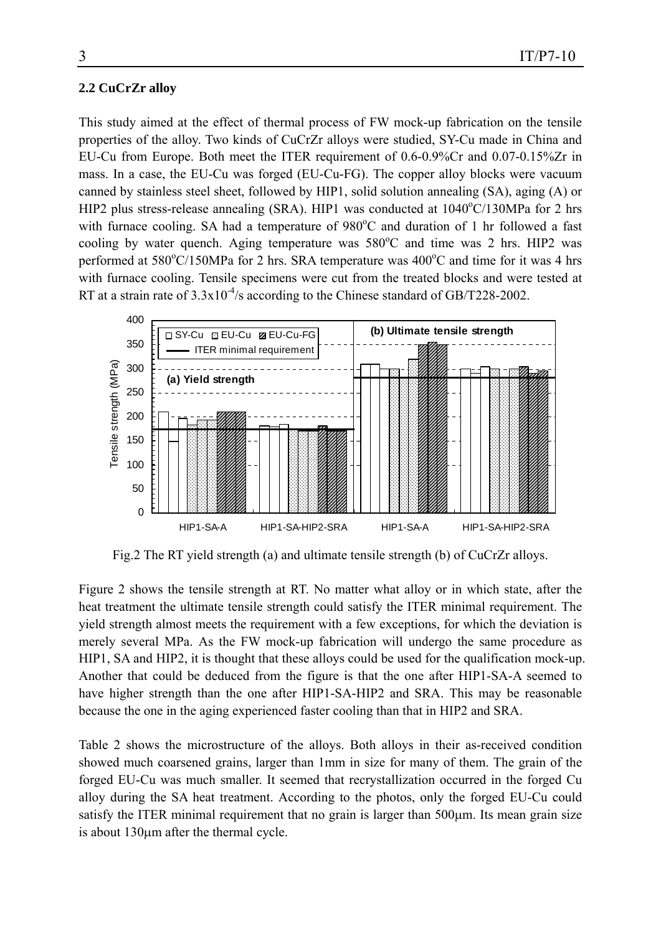#### **2.2 CuCrZr alloy**

This study aimed at the effect of thermal process of FW mock-up fabrication on the tensile properties of the alloy. Two kinds of CuCrZr alloys were studied, SY-Cu made in China and EU-Cu from Europe. Both meet the ITER requirement of 0.6-0.9%Cr and 0.07-0.15%Zr in mass. In a case, the EU-Cu was forged (EU-Cu-FG). The copper alloy blocks were vacuum canned by stainless steel sheet, followed by HIP1, solid solution annealing (SA), aging (A) or HIP2 plus stress-release annealing (SRA). HIP1 was conducted at  $1040^{\circ}$ C/130MPa for 2 hrs with furnace cooling. SA had a temperature of 980°C and duration of 1 hr followed a fast cooling by water quench. Aging temperature was  $580^{\circ}$ C and time was 2 hrs. HIP2 was performed at 580°C/150MPa for 2 hrs. SRA temperature was 400°C and time for it was 4 hrs with furnace cooling. Tensile specimens were cut from the treated blocks and were tested at RT at a strain rate of  $3.3x10^{-4}/s$  according to the Chinese standard of GB/T228-2002.



Fig.2 The RT yield strength (a) and ultimate tensile strength (b) of CuCrZr alloys.

Figure 2 shows the tensile strength at RT. No matter what alloy or in which state, after the heat treatment the ultimate tensile strength could satisfy the ITER minimal requirement. The yield strength almost meets the requirement with a few exceptions, for which the deviation is merely several MPa. As the FW mock-up fabrication will undergo the same procedure as HIP1, SA and HIP2, it is thought that these alloys could be used for the qualification mock-up. Another that could be deduced from the figure is that the one after HIP1-SA-A seemed to have higher strength than the one after HIP1-SA-HIP2 and SRA. This may be reasonable because the one in the aging experienced faster cooling than that in HIP2 and SRA.

Table 2 shows the microstructure of the alloys. Both alloys in their as-received condition showed much coarsened grains, larger than 1mm in size for many of them. The grain of the forged EU-Cu was much smaller. It seemed that recrystallization occurred in the forged Cu alloy during the SA heat treatment. According to the photos, only the forged EU-Cu could satisfy the ITER minimal requirement that no grain is larger than 500μm. Its mean grain size is about 130μm after the thermal cycle.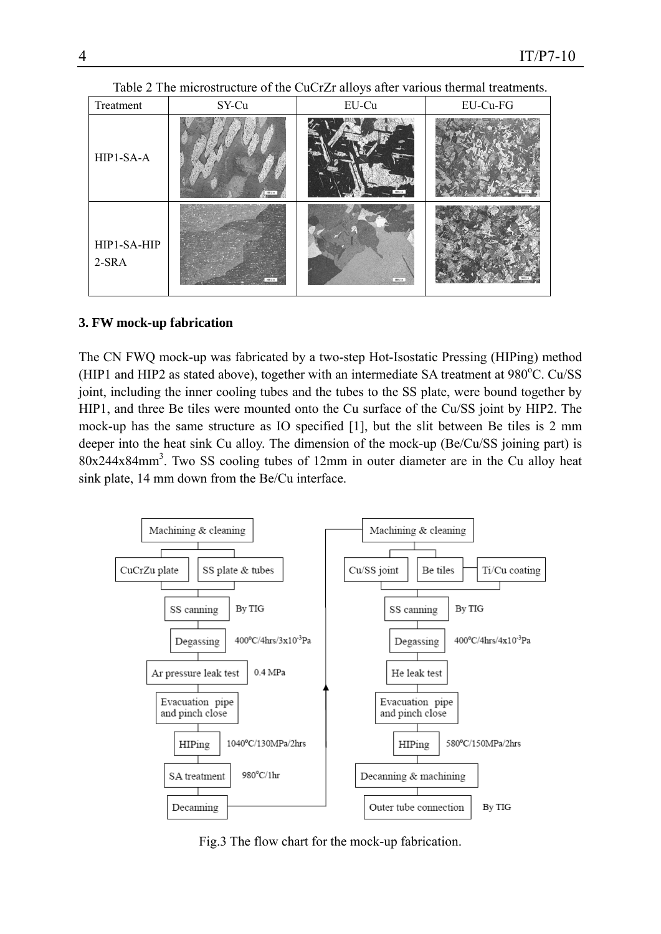| Treatment              | SY-Cu    | EU-Cu         | EU-Cu-FG |
|------------------------|----------|---------------|----------|
| HIP1-SA-A              | 268 p.m. | <b>NA 1-m</b> |          |
| HIP1-SA-HIP<br>$2-SRA$ |          | 260 Fm        |          |

Table 2 The microstructure of the CuCrZr alloys after various thermal treatments.

## **3. FW mock-up fabrication**

The CN FWQ mock-up was fabricated by a two-step Hot-Isostatic Pressing (HIPing) method (HIP1 and HIP2 as stated above), together with an intermediate SA treatment at 980°C. Cu/SS joint, including the inner cooling tubes and the tubes to the SS plate, were bound together by HIP1, and three Be tiles were mounted onto the Cu surface of the Cu/SS joint by HIP2. The mock-up has the same structure as IO specified [1], but the slit between Be tiles is 2 mm deeper into the heat sink Cu alloy. The dimension of the mock-up (Be/Cu/SS joining part) is 80x244x84mm3 . Two SS cooling tubes of 12mm in outer diameter are in the Cu alloy heat sink plate, 14 mm down from the Be/Cu interface.



Fig.3 The flow chart for the mock-up fabrication.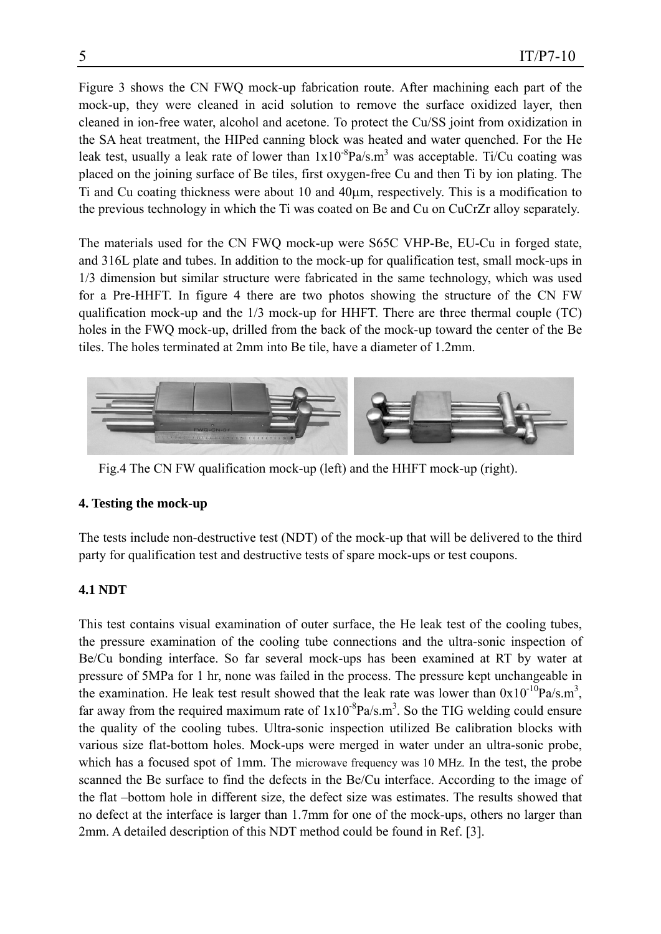Figure 3 shows the CN FWQ mock-up fabrication route. After machining each part of the mock-up, they were cleaned in acid solution to remove the surface oxidized layer, then cleaned in ion-free water, alcohol and acetone. To protect the Cu/SS joint from oxidization in the SA heat treatment, the HIPed canning block was heated and water quenched. For the He leak test, usually a leak rate of lower than  $1x10^{-8}Pa/s.m^3$  was acceptable. Ti/Cu coating was placed on the joining surface of Be tiles, first oxygen-free Cu and then Ti by ion plating. The Ti and Cu coating thickness were about 10 and 40μm, respectively. This is a modification to the previous technology in which the Ti was coated on Be and Cu on CuCrZr alloy separately.

The materials used for the CN FWQ mock-up were S65C VHP-Be, EU-Cu in forged state, and 316L plate and tubes. In addition to the mock-up for qualification test, small mock-ups in 1/3 dimension but similar structure were fabricated in the same technology, which was used for a Pre-HHFT. In figure 4 there are two photos showing the structure of the CN FW qualification mock-up and the 1/3 mock-up for HHFT. There are three thermal couple (TC) holes in the FWQ mock-up, drilled from the back of the mock-up toward the center of the Be tiles. The holes terminated at 2mm into Be tile, have a diameter of 1.2mm.



Fig.4 The CN FW qualification mock-up (left) and the HHFT mock-up (right).

### **4. Testing the mock-up**

The tests include non-destructive test (NDT) of the mock-up that will be delivered to the third party for qualification test and destructive tests of spare mock-ups or test coupons.

### **4.1 NDT**

This test contains visual examination of outer surface, the He leak test of the cooling tubes, the pressure examination of the cooling tube connections and the ultra-sonic inspection of Be/Cu bonding interface. So far several mock-ups has been examined at RT by water at pressure of 5MPa for 1 hr, none was failed in the process. The pressure kept unchangeable in the examination. He leak test result showed that the leak rate was lower than  $0x10^{-10}Pa/s.m^3$ , far away from the required maximum rate of  $1x10^{-8}Pa/s.m^3$ . So the TIG welding could ensure the quality of the cooling tubes. Ultra-sonic inspection utilized Be calibration blocks with various size flat-bottom holes. Mock-ups were merged in water under an ultra-sonic probe, which has a focused spot of 1mm. The microwave frequency was 10 MHz. In the test, the probe scanned the Be surface to find the defects in the Be/Cu interface. According to the image of the flat –bottom hole in different size, the defect size was estimates. The results showed that no defect at the interface is larger than 1.7mm for one of the mock-ups, others no larger than 2mm. A detailed description of this NDT method could be found in Ref. [3].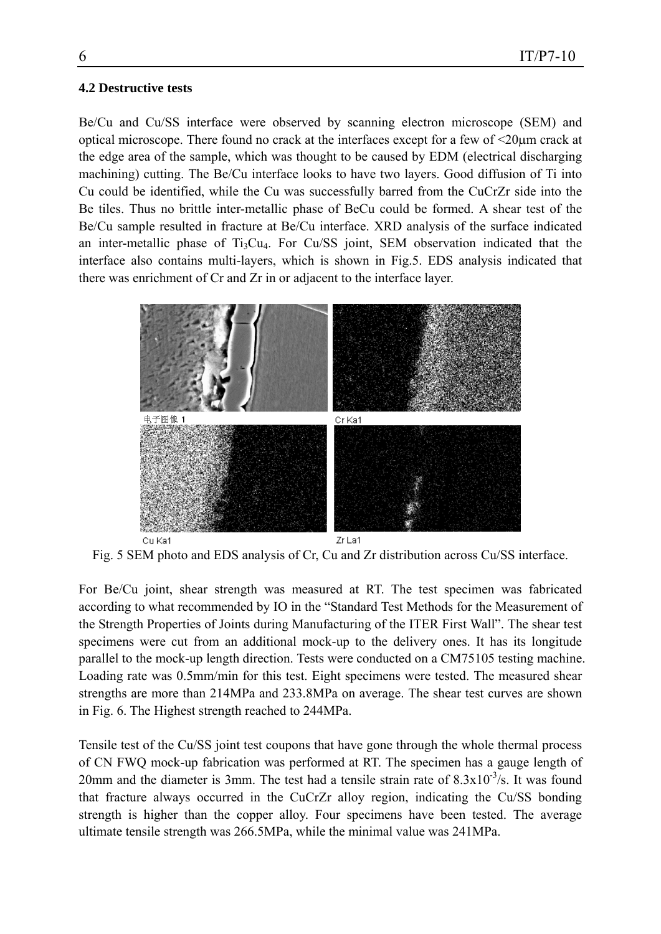#### **4.2 Destructive tests**

Be/Cu and Cu/SS interface were observed by scanning electron microscope (SEM) and optical microscope. There found no crack at the interfaces except for a few of <20μm crack at the edge area of the sample, which was thought to be caused by EDM (electrical discharging machining) cutting. The Be/Cu interface looks to have two layers. Good diffusion of Ti into Cu could be identified, while the Cu was successfully barred from the CuCrZr side into the Be tiles. Thus no brittle inter-metallic phase of BeCu could be formed. A shear test of the Be/Cu sample resulted in fracture at Be/Cu interface. XRD analysis of the surface indicated an inter-metallic phase of  $Ti<sub>3</sub>Cu<sub>4</sub>$ . For Cu/SS joint, SEM observation indicated that the interface also contains multi-layers, which is shown in Fig.5. EDS analysis indicated that there was enrichment of Cr and Zr in or adjacent to the interface layer.



Fig. 5 SEM photo and EDS analysis of Cr, Cu and Zr distribution across Cu/SS interface.

For Be/Cu joint, shear strength was measured at RT. The test specimen was fabricated according to what recommended by IO in the "Standard Test Methods for the Measurement of the Strength Properties of Joints during Manufacturing of the ITER First Wall". The shear test specimens were cut from an additional mock-up to the delivery ones. It has its longitude parallel to the mock-up length direction. Tests were conducted on a CM75105 testing machine. Loading rate was 0.5mm/min for this test. Eight specimens were tested. The measured shear strengths are more than 214MPa and 233.8MPa on average. The shear test curves are shown in Fig. 6. The Highest strength reached to 244MPa.

Tensile test of the Cu/SS joint test coupons that have gone through the whole thermal process of CN FWQ mock-up fabrication was performed at RT. The specimen has a gauge length of 20mm and the diameter is 3mm. The test had a tensile strain rate of  $8.3 \times 10^{-3}/s$ . It was found that fracture always occurred in the CuCrZr alloy region, indicating the Cu/SS bonding strength is higher than the copper alloy. Four specimens have been tested. The average ultimate tensile strength was 266.5MPa, while the minimal value was 241MPa.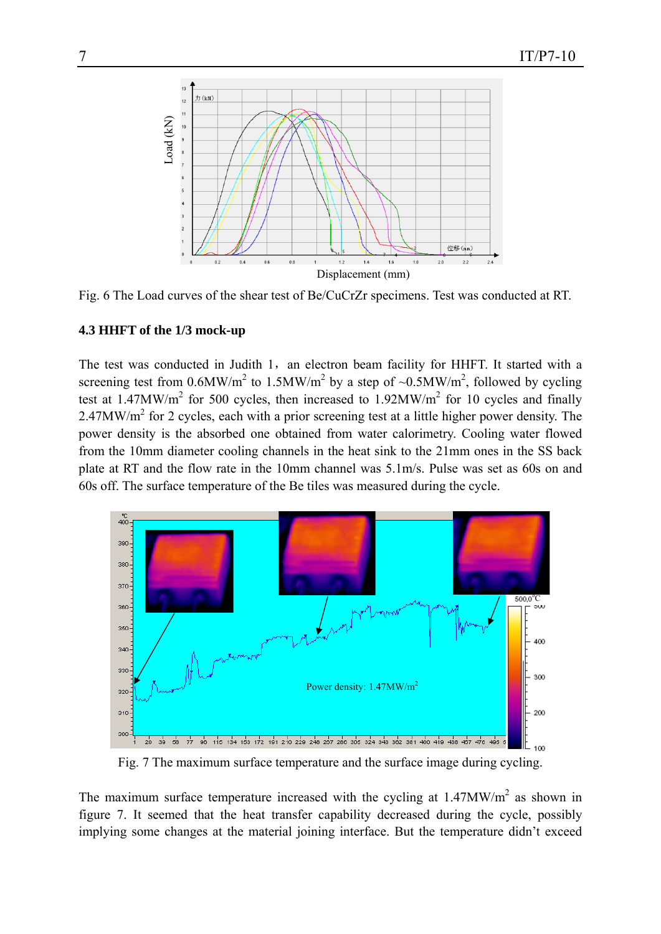

Fig. 6 The Load curves of the shear test of Be/CuCrZr specimens. Test was conducted at RT.

### **4.3 HHFT of the 1/3 mock-up**

The test was conducted in Judith 1, an electron beam facility for HHFT. It started with a screening test from 0.6MW/m<sup>2</sup> to 1.5MW/m<sup>2</sup> by a step of ~0.5MW/m<sup>2</sup>, followed by cycling test at 1.47MW/ $m^2$  for 500 cycles, then increased to 1.92MW/ $m^2$  for 10 cycles and finally 2.47MW/ $m<sup>2</sup>$  for 2 cycles, each with a prior screening test at a little higher power density. The power density is the absorbed one obtained from water calorimetry. Cooling water flowed from the 10mm diameter cooling channels in the heat sink to the 21mm ones in the SS back plate at RT and the flow rate in the 10mm channel was 5.1m/s. Pulse was set as 60s on and 60s off. The surface temperature of the Be tiles was measured during the cycle.



Fig. 7 The maximum surface temperature and the surface image during cycling.

The maximum surface temperature increased with the cycling at  $1.47MW/m<sup>2</sup>$  as shown in figure 7. It seemed that the heat transfer capability decreased during the cycle, possibly implying some changes at the material joining interface. But the temperature didn't exceed